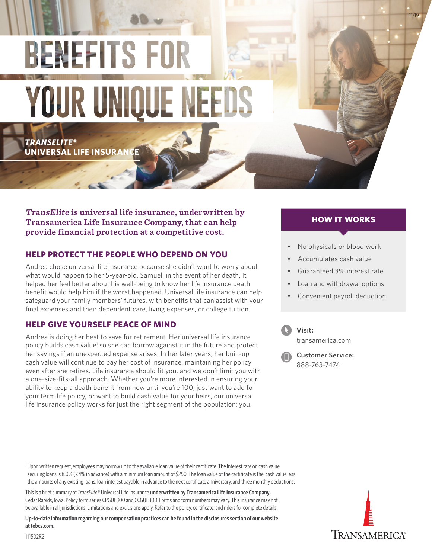# **BENEFITS FOR YOUR UNIQUE NEEDS**

*TRANSELITE***® UNIVERSAL LIFE INSURAN** 

**TransElite is universal life insurance, underwritten by Transamerica Life Insurance Company, that can help provide financial protection at a competitive cost.**

# **HELP PROTECT THE PEOPLE WHO DEPEND ON YOU**

Andrea chose universal life insurance because she didn't want to worry about what would happen to her 5-year-old, Samuel, in the event of her death. It helped her feel better about his well-being to know her life insurance death benefit would help him if the worst happened. Universal life insurance can help safeguard your family members' futures, with benefits that can assist with your final expenses and their dependent care, living expenses, or college tuition.

## **HELP GIVE YOURSELF PEACE OF MIND**

Andrea is doing her best to save for retirement. Her universal life insurance policy builds cash value<sup>1</sup> so she can borrow against it in the future and protect her savings if an unexpected expense arises. In her later years, her built-up cash value will continue to pay her cost of insurance, maintaining her policy even after she retires. Life insurance should fit you, and we don't limit you with a one-size-fits-all approach. Whether you're more interested in ensuring your ability to keep a death benefit from now until you're 100, just want to add to your term life policy, or want to build cash value for your heirs, our universal life insurance policy works for just the right segment of the population: you.

# **HOW IT WORKS**

11/19

- No physicals or blood work
- Accumulates cash value
- Guaranteed 3% interest rate
- Loan and withdrawal options
- Convenient payroll deduction



[transamerica.com](http://transamericabenefits.com)

**Customer Service:** 888-763-7474

1 Upon written request, employees may borrow up to the available loan value of their certificate. The interest rate on cash value securing loans is 8.0% (7.4% in advance) with a minimum loan amount of \$250. The loan value of the certificate is the cash value less the amounts of any existing loans, loan interest payable in advance to the next certificate anniversary, and three monthly deductions.

This is a brief summary of *TransElite*® Universal Life Insurance **underwritten by Transamerica Life Insurance Company,**  Cedar Rapids, Iowa. Policy form series CPGUL300 and CCGUL300. Forms and form numbers may vary. This insurance may not be available in all jurisdictions. Limitations and exclusions apply. Refer to the policy, certificate, and riders for complete details.

**Up-to-date information regarding our compensation practices can be found in the disclosures section of our website at tebcs.com.**



111502R2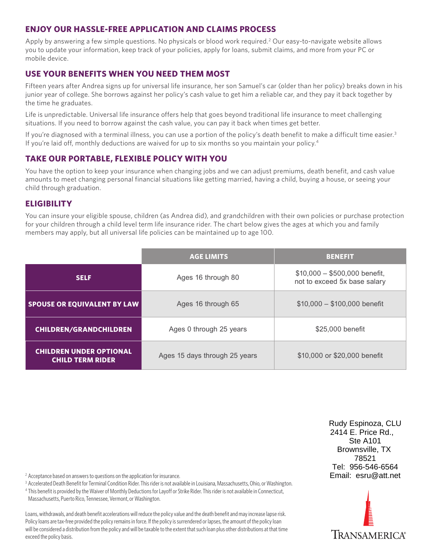## **ENJOY OUR HASSLE-FREE APPLICATION AND CLAIMS PROCESS**

Apply by answering a few simple questions. No physicals or blood work required.<sup>2</sup> Our easy-to-navigate website allows you to update your information, keep track of your policies, apply for loans, submit claims, and more from your PC or mobile device.

# **USE YOUR BENEFITS WHEN YOU NEED THEM MOST**

Fifteen years after Andrea signs up for universal life insurance, her son Samuel's car (older than her policy) breaks down in his junior year of college. She borrows against her policy's cash value to get him a reliable car, and they pay it back together by the time he graduates.

Life is unpredictable. Universal life insurance offers help that goes beyond traditional life insurance to meet challenging situations. If you need to borrow against the cash value, you can pay it back when times get better.

If you're diagnosed with a terminal illness, you can use a portion of the policy's death benefit to make a difficult time easier.<sup>3</sup> If you're laid off, monthly deductions are waived for up to six months so you maintain your policy.<sup>4</sup>

# **TAKE OUR PORTABLE, FLEXIBLE POLICY WITH YOU**

You have the option to keep your insurance when changing jobs and we can adjust premiums, death benefit, and cash value amounts to meet changing personal financial situations like getting married, having a child, buying a house, or seeing your child through graduation.

## **ELIGIBILITY**

You can insure your eligible spouse, children (as Andrea did), and grandchildren with their own policies or purchase protection for your children through a child level term life insurance rider. The chart below gives the ages at which you and family members may apply, but all universal life policies can be maintained up to age 100.

|                                                           | <b>AGE LIMITS</b>             | <b>BENEFIT</b>                                                |
|-----------------------------------------------------------|-------------------------------|---------------------------------------------------------------|
| <b>SELF</b>                                               | Ages 16 through 80            | $$10,000 - $500,000$ benefit,<br>not to exceed 5x base salary |
| <b>SPOUSE OR EQUIVALENT BY LAW</b>                        | Ages 16 through 65            | $$10,000 - $100,000$ benefit                                  |
| <b>CHILDREN/GRANDCHILDREN</b>                             | Ages 0 through 25 years       | \$25,000 benefit                                              |
| <b>CHILDREN UNDER OPTIONAL</b><br><b>CHILD TERM RIDER</b> | Ages 15 days through 25 years | \$10,000 or \$20,000 benefit                                  |

<sup>2</sup> Acceptance based on answers to questions on the application for insurance.

<sup>3</sup> Accelerated Death Benefit for Terminal Condition Rider. This rider is not available in Louisiana, Massachusetts, Ohio, or Washington.

4 This benefit is provided by the Waiver of Monthly Deductions for Layoff or Strike Rider. This rider is not available in Connecticut, Massachusetts, Puerto Rico, Tennessee, Vermont, or Washington.

Loans, withdrawals, and death benefit accelerations will reduce the policy value and the death benefit and may increase lapse risk. Policy loans are tax-free provided the policy remains in force. If the policy is surrendered or lapses, the amount of the policy loan will be considered a distribution from the policy and will be taxable to the extent that such loan plus other distributions at that time exceed the policy basis.

Rudy Espinoza, CLU 2414 E. Price Rd., Ste A101 Brownsville, TX 78521 Tel: 956-546-6564 Email: esru@att.net

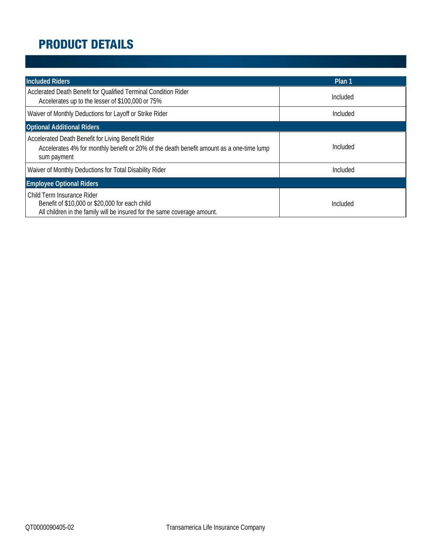# **PRODUCT DETAILS**

| <b>Included Riders</b>                                                                                                                                        | Plan 1   |
|---------------------------------------------------------------------------------------------------------------------------------------------------------------|----------|
| Acclerated Death Benefit for Qualified Terminal Condition Rider<br>Accelerates up to the lesser of \$100,000 or 75%                                           | Included |
| Waiver of Monthly Deductions for Layoff or Strike Rider                                                                                                       | Included |
| <b>Optional Additional Riders</b>                                                                                                                             |          |
| Accelerated Death Benefit for Living Benefit Rider<br>Accelerates 4% for monthly benefit or 20% of the death benefit amount as a one-time lump<br>sum payment | Included |
| Waiver of Monthly Deductions for Total Disability Rider                                                                                                       | Included |
| <b>Employee Optional Riders</b>                                                                                                                               |          |
| Child Term Insurance Rider<br>Benefit of \$10,000 or \$20,000 for each child<br>All children in the family will be insured for the same coverage amount.      | Included |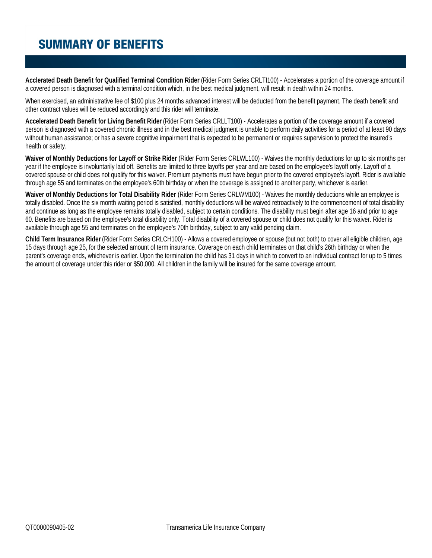# **SUMMARY OF BENEFITS**

**Acclerated Death Benefit for Qualified Terminal Condition Rider** (Rider Form Series CRLTI100) - Accelerates a portion of the coverage amount if a covered person is diagnosed with a terminal condition which, in the best medical judgment, will result in death within 24 months.

When exercised, an administrative fee of \$100 plus 24 months advanced interest will be deducted from the benefit payment. The death benefit and other contract values will be reduced accordingly and this rider will terminate.

**Accelerated Death Benefit for Living Benefit Rider** (Rider Form Series CRLLT100) - Accelerates a portion of the coverage amount if a covered person is diagnosed with a covered chronic illness and in the best medical judgment is unable to perform daily activities for a period of at least 90 days without human assistance; or has a severe cognitive impairment that is expected to be permanent or requires supervision to protect the insured's health or safety.

**Waiver of Monthly Deductions for Layoff or Strike Rider** (Rider Form Series CRLWL100) - Waives the monthly deductions for up to six months per year if the employee is involuntarily laid off. Benefits are limited to three layoffs per year and are based on the employee's layoff only. Layoff of a covered spouse or child does not qualify for this waiver. Premium payments must have begun prior to the covered employee's layoff. Rider is available through age 55 and terminates on the employee's 60th birthday or when the coverage is assigned to another party, whichever is earlier.

**Waiver of Monthly Deductions for Total Disability Rider** (Rider Form Series CRLWM100) - Waives the monthly deductions while an employee is totally disabled. Once the six month waiting period is satisfied, monthly deductions will be waived retroactively to the commencement of total disability and continue as long as the employee remains totally disabled, subject to certain conditions. The disability must begin after age 16 and prior to age Waiver of Monthly Deductions for Total Disability Rider (Rider Form Series CRLWM100) - Waives the monthly deductions while an employee is<br>totally disabled. Once the six month waiting period is satisfied, monthly deductions available through age 55 and terminates on the employee's 70th birthday, subject to any valid pending claim.

**Child Term Insurance Rider** (Rider Form Series CRLCH100) - Allows a covered employee or spouse (but not both) to cover all eligible children, age 15 days through age 25, for the selected amount of term insurance. Coverage on each child terminates on that child's 26th birthday or when the parent's coverage ends, whichever is earlier. Upon the termination the child has 31 days in which to convert to an individual contract for up to 5 times the amount of coverage under this rider or \$50,000. All children in the family will be insured for the same coverage amount.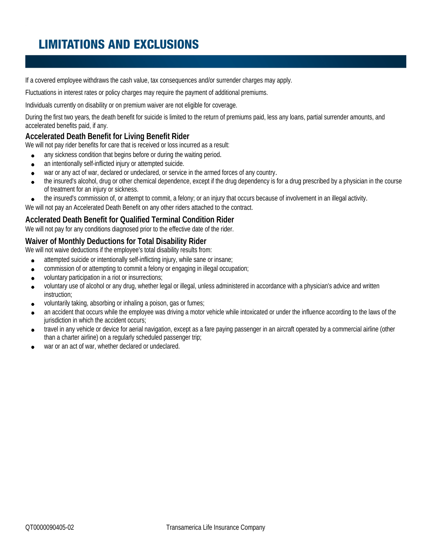# **LIMITATIONS AND EXCLUSIONS**

If a covered employee withdraws the cash value, tax consequences and/or surrender charges may apply.

Fluctuations in interest rates or policy charges may require the payment of additional premiums.

Individuals currently on disability or on premium waiver are not eligible for coverage.

During the first two years, the death benefit for suicide is limited to the return of premiums paid, less any loans, partial surrender amounts, and accelerated benefits paid, if any.

### **Accelerated Death Benefit for Living Benefit Rider**

We will not pay rider benefits for care that is received or loss incurred as a result:

- any sickness condition that begins before or during the waiting period.  $\bullet$
- an intentionally self-inflicted injury or attempted suicide.  $\bullet$
- war or any act of war, declared or undeclared, or service in the armed forces of any country.  $\bullet$
- the insured's alcohol, drug or other chemical dependence, except if the drug dependency is for a drug prescribed by a physician in the course  $\bullet$ of treatment for an injury or sickness.
- the insured's commission of, or attempt to commit, a felony; or an injury that occurs because of involvement in an illegal activity.  $\bullet$

We will not pay an Accelerated Death Benefit on any other riders attached to the contract.

#### **Acclerated Death Benefit for Qualified Terminal Condition Rider**

We will not pay for any conditions diagnosed prior to the effective date of the rider.

## **Waiver of Monthly Deductions for Total Disability Rider**

We will not waive deductions if the employee's total disability results from:

- attempted suicide or intentionally self-inflicting injury, while sane or insane;  $\bullet$
- commission of or attempting to commit a felony or engaging in illegal occupation;  $\bullet$
- voluntary participation in a riot or insurrections;  $\bullet$
- voluntary use of alcohol or any drug, whether legal or illegal, unless administered in accordance with a physician's advice and written  $\bullet$ instruction;
- voluntarily taking, absorbing or inhaling a poison, gas or fumes;  $\bullet$
- an accident that occurs while the employee was driving a motor vehicle while intoxicated or under the influence according to the laws of the  $\bullet$ jurisdiction in which the accident occurs;
- travel in any vehicle or device for aerial navigation, except as a fare paying passenger in an aircraft operated by a commercial airline (other  $\bullet$ than a charter airline) on a regularly scheduled passenger trip;
- war or an act of war, whether declared or undeclared.